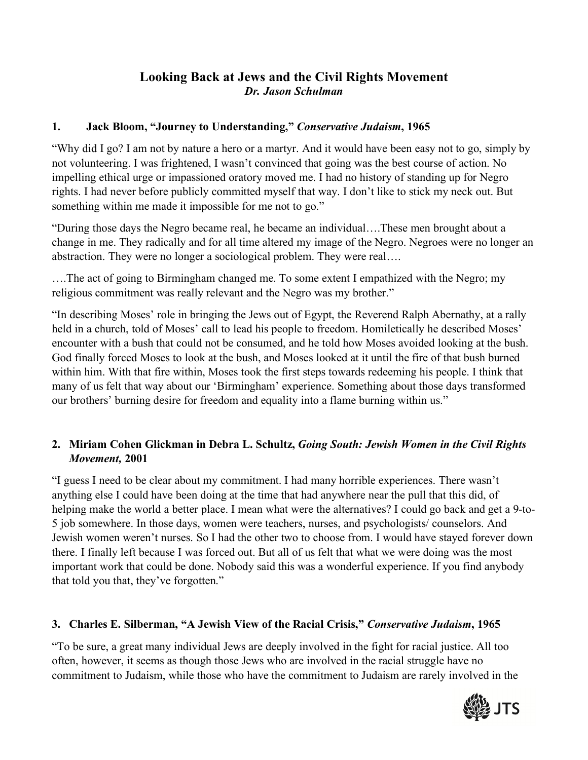# **Looking Back at Jews and the Civil Rights Movement** *Dr. Jason Schulman*

#### **1. Jack Bloom, "Journey to Understanding,"** *Conservative Judaism***, 1965**

"Why did I go? I am not by nature a hero or a martyr. And it would have been easy not to go, simply by not volunteering. I was frightened, I wasn't convinced that going was the best course of action. No impelling ethical urge or impassioned oratory moved me. I had no history of standing up for Negro rights. I had never before publicly committed myself that way. I don't like to stick my neck out. But something within me made it impossible for me not to go."

"During those days the Negro became real, he became an individual….These men brought about a change in me. They radically and for all time altered my image of the Negro. Negroes were no longer an abstraction. They were no longer a sociological problem. They were real….

….The act of going to Birmingham changed me. To some extent I empathized with the Negro; my religious commitment was really relevant and the Negro was my brother."

"In describing Moses' role in bringing the Jews out of Egypt, the Reverend Ralph Abernathy, at a rally held in a church, told of Moses' call to lead his people to freedom. Homiletically he described Moses' encounter with a bush that could not be consumed, and he told how Moses avoided looking at the bush. God finally forced Moses to look at the bush, and Moses looked at it until the fire of that bush burned within him. With that fire within, Moses took the first steps towards redeeming his people. I think that many of us felt that way about our 'Birmingham' experience. Something about those days transformed our brothers' burning desire for freedom and equality into a flame burning within us."

# **2. Miriam Cohen Glickman in Debra L. Schultz,** *Going South: Jewish Women in the Civil Rights Movement,* **2001**

"I guess I need to be clear about my commitment. I had many horrible experiences. There wasn't anything else I could have been doing at the time that had anywhere near the pull that this did, of helping make the world a better place. I mean what were the alternatives? I could go back and get a 9-to-5 job somewhere. In those days, women were teachers, nurses, and psychologists/ counselors. And Jewish women weren't nurses. So I had the other two to choose from. I would have stayed forever down there. I finally left because I was forced out. But all of us felt that what we were doing was the most important work that could be done. Nobody said this was a wonderful experience. If you find anybody that told you that, they've forgotten."

### **3. Charles E. Silberman, "A Jewish View of the Racial Crisis,"** *Conservative Judaism***, 1965**

"To be sure, a great many individual Jews are deeply involved in the fight for racial justice. All too often, however, it seems as though those Jews who are involved in the racial struggle have no commitment to Judaism, while those who have the commitment to Judaism are rarely involved in the

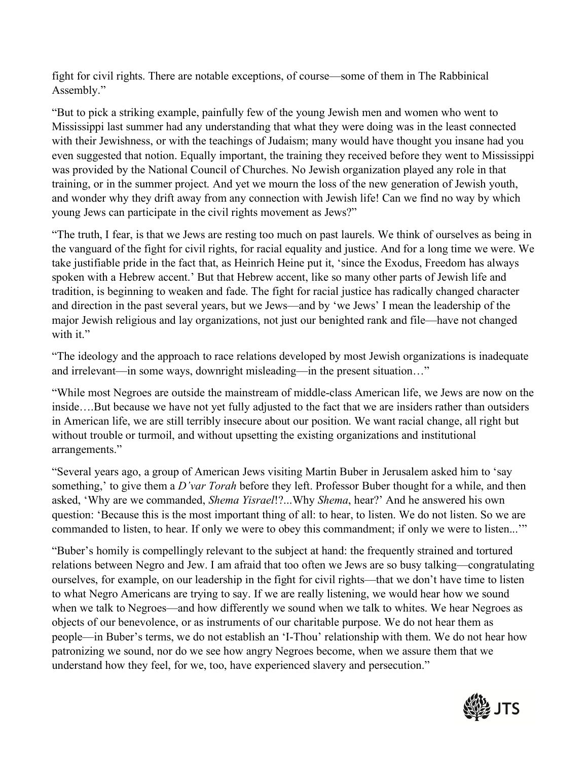fight for civil rights. There are notable exceptions, of course—some of them in The Rabbinical Assembly."

"But to pick a striking example, painfully few of the young Jewish men and women who went to Mississippi last summer had any understanding that what they were doing was in the least connected with their Jewishness, or with the teachings of Judaism; many would have thought you insane had you even suggested that notion. Equally important, the training they received before they went to Mississippi was provided by the National Council of Churches. No Jewish organization played any role in that training, or in the summer project. And yet we mourn the loss of the new generation of Jewish youth, and wonder why they drift away from any connection with Jewish life! Can we find no way by which young Jews can participate in the civil rights movement as Jews?"

"The truth, I fear, is that we Jews are resting too much on past laurels. We think of ourselves as being in the vanguard of the fight for civil rights, for racial equality and justice. And for a long time we were. We take justifiable pride in the fact that, as Heinrich Heine put it, 'since the Exodus, Freedom has always spoken with a Hebrew accent.' But that Hebrew accent, like so many other parts of Jewish life and tradition, is beginning to weaken and fade. The fight for racial justice has radically changed character and direction in the past several years, but we Jews—and by 'we Jews' I mean the leadership of the major Jewish religious and lay organizations, not just our benighted rank and file—have not changed with it."

"The ideology and the approach to race relations developed by most Jewish organizations is inadequate and irrelevant—in some ways, downright misleading—in the present situation…"

"While most Negroes are outside the mainstream of middle-class American life, we Jews are now on the inside….But because we have not yet fully adjusted to the fact that we are insiders rather than outsiders in American life, we are still terribly insecure about our position. We want racial change, all right but without trouble or turmoil, and without upsetting the existing organizations and institutional arrangements."

"Several years ago, a group of American Jews visiting Martin Buber in Jerusalem asked him to 'say something,' to give them a *D'var Torah* before they left. Professor Buber thought for a while, and then asked, 'Why are we commanded, *Shema Yisrael*!?...Why *Shema*, hear?' And he answered his own question: 'Because this is the most important thing of all: to hear, to listen. We do not listen. So we are commanded to listen, to hear. If only we were to obey this commandment; if only we were to listen...'"

"Buber's homily is compellingly relevant to the subject at hand: the frequently strained and tortured relations between Negro and Jew. I am afraid that too often we Jews are so busy talking—congratulating ourselves, for example, on our leadership in the fight for civil rights—that we don't have time to listen to what Negro Americans are trying to say. If we are really listening, we would hear how we sound when we talk to Negroes—and how differently we sound when we talk to whites. We hear Negroes as objects of our benevolence, or as instruments of our charitable purpose. We do not hear them as people—in Buber's terms, we do not establish an 'I-Thou' relationship with them. We do not hear how patronizing we sound, nor do we see how angry Negroes become, when we assure them that we understand how they feel, for we, too, have experienced slavery and persecution."

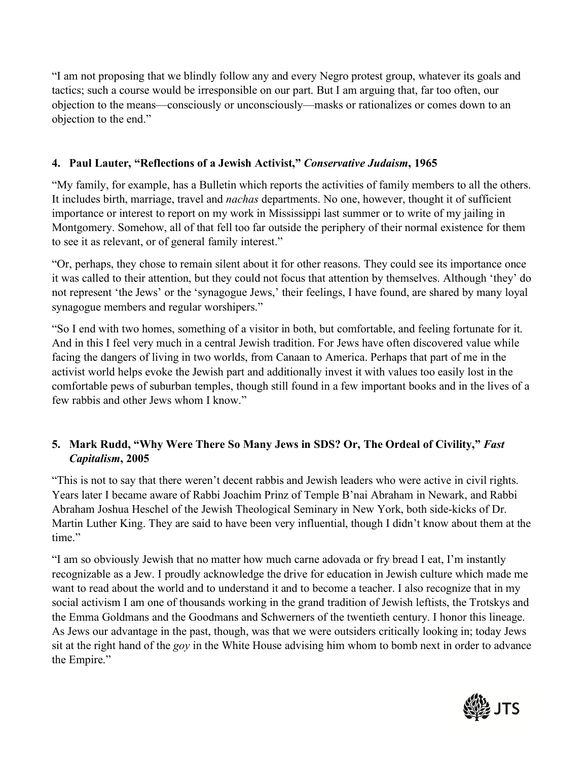"I am not proposing that we blindly follow any and every Negro protest group, whatever its goals and tactics; such a course would be irresponsible on our part. But I am arguing that, far too often, our objection to the means—consciously or unconsciously—masks or rationalizes or comes down to an objection to the end."

# **4. Paul Lauter, "Reflections of a Jewish Activist,"** *Conservative Judaism***, 1965**

"My family, for example, has a Bulletin which reports the activities of family members to all the others. It includes birth, marriage, travel and *nachas* departments. No one, however, thought it of sufficient importance or interest to report on my work in Mississippi last summer or to write of my jailing in Montgomery. Somehow, all of that fell too far outside the periphery of their normal existence for them to see it as relevant, or of general family interest."

"Or, perhaps, they chose to remain silent about it for other reasons. They could see its importance once it was called to their attention, but they could not focus that attention by themselves. Although 'they' do not represent 'the Jews' or the 'synagogue Jews,' their feelings, I have found, are shared by many loyal synagogue members and regular worshipers."

"So I end with two homes, something of a visitor in both, but comfortable, and feeling fortunate for it. And in this I feel very much in a central Jewish tradition. For Jews have often discovered value while facing the dangers of living in two worlds, from Canaan to America. Perhaps that part of me in the activist world helps evoke the Jewish part and additionally invest it with values too easily lost in the comfortable pews of suburban temples, though still found in a few important books and in the lives of a few rabbis and other Jews whom I know."

# **5. Mark Rudd, "Why Were There So Many Jews in SDS? Or, The Ordeal of Civility,"** *Fast Capitalism***, 2005**

"This is not to say that there weren't decent rabbis and Jewish leaders who were active in civil rights. Years later I became aware of Rabbi Joachim Prinz of Temple B'nai Abraham in Newark, and Rabbi Abraham Joshua Heschel of the Jewish Theological Seminary in New York, both side-kicks of Dr. Martin Luther King. They are said to have been very influential, though I didn't know about them at the time"

"I am so obviously Jewish that no matter how much carne adovada or fry bread I eat, I'm instantly recognizable as a Jew. I proudly acknowledge the drive for education in Jewish culture which made me want to read about the world and to understand it and to become a teacher. I also recognize that in my social activism I am one of thousands working in the grand tradition of Jewish leftists, the Trotskys and the Emma Goldmans and the Goodmans and Schwerners of the twentieth century. I honor this lineage. As Jews our advantage in the past, though, was that we were outsiders critically looking in; today Jews sit at the right hand of the *goy* in the White House advising him whom to bomb next in order to advance the Empire."

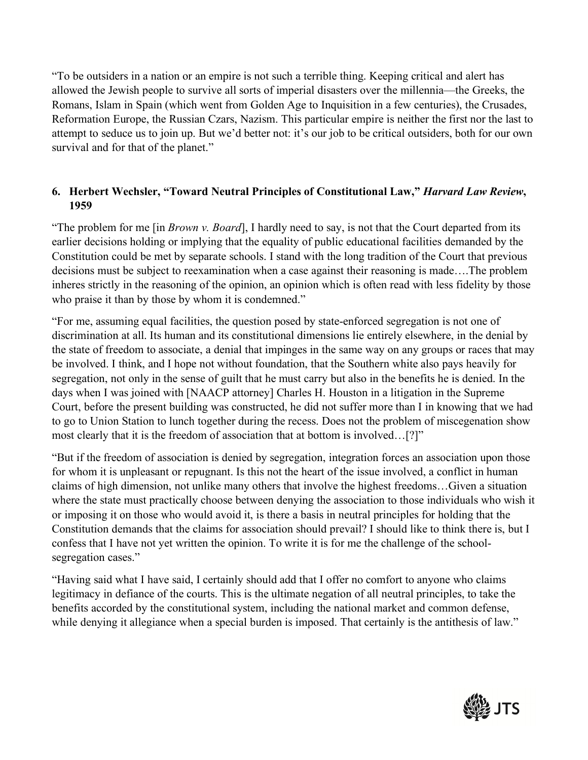"To be outsiders in a nation or an empire is not such a terrible thing. Keeping critical and alert has allowed the Jewish people to survive all sorts of imperial disasters over the millennia—the Greeks, the Romans, Islam in Spain (which went from Golden Age to Inquisition in a few centuries), the Crusades, Reformation Europe, the Russian Czars, Nazism. This particular empire is neither the first nor the last to attempt to seduce us to join up. But we'd better not: it's our job to be critical outsiders, both for our own survival and for that of the planet."

## **6. Herbert Wechsler, "Toward Neutral Principles of Constitutional Law,"** *Harvard Law Review***, 1959**

"The problem for me [in *Brown v. Board*], I hardly need to say, is not that the Court departed from its earlier decisions holding or implying that the equality of public educational facilities demanded by the Constitution could be met by separate schools. I stand with the long tradition of the Court that previous decisions must be subject to reexamination when a case against their reasoning is made….The problem inheres strictly in the reasoning of the opinion, an opinion which is often read with less fidelity by those who praise it than by those by whom it is condemned."

"For me, assuming equal facilities, the question posed by state-enforced segregation is not one of discrimination at all. Its human and its constitutional dimensions lie entirely elsewhere, in the denial by the state of freedom to associate, a denial that impinges in the same way on any groups or races that may be involved. I think, and I hope not without foundation, that the Southern white also pays heavily for segregation, not only in the sense of guilt that he must carry but also in the benefits he is denied. In the days when I was joined with [NAACP attorney] Charles H. Houston in a litigation in the Supreme Court, before the present building was constructed, he did not suffer more than I in knowing that we had to go to Union Station to lunch together during the recess. Does not the problem of miscegenation show most clearly that it is the freedom of association that at bottom is involved…[?]"

"But if the freedom of association is denied by segregation, integration forces an association upon those for whom it is unpleasant or repugnant. Is this not the heart of the issue involved, a conflict in human claims of high dimension, not unlike many others that involve the highest freedoms…Given a situation where the state must practically choose between denying the association to those individuals who wish it or imposing it on those who would avoid it, is there a basis in neutral principles for holding that the Constitution demands that the claims for association should prevail? I should like to think there is, but I confess that I have not yet written the opinion. To write it is for me the challenge of the schoolsegregation cases."

"Having said what I have said, I certainly should add that I offer no comfort to anyone who claims legitimacy in defiance of the courts. This is the ultimate negation of all neutral principles, to take the benefits accorded by the constitutional system, including the national market and common defense, while denying it allegiance when a special burden is imposed. That certainly is the antithesis of law."

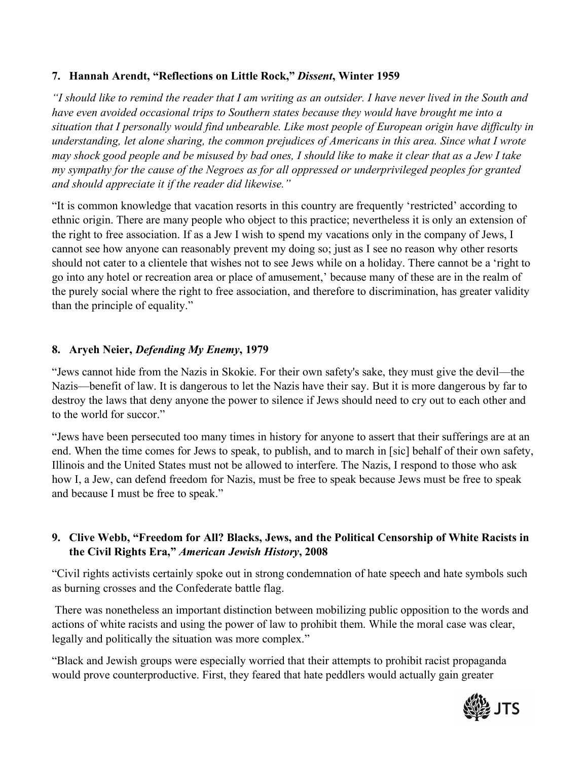#### **7. Hannah Arendt, "Reflections on Little Rock,"** *Dissent***, Winter 1959**

*"I should like to remind the reader that I am writing as an outsider. I have never lived in the South and have even avoided occasional trips to Southern states because they would have brought me into a situation that I personally would find unbearable. Like most people of European origin have difficulty in understanding, let alone sharing, the common prejudices of Americans in this area. Since what I wrote may shock good people and be misused by bad ones, I should like to make it clear that as a Jew I take my sympathy for the cause of the Negroes as for all oppressed or underprivileged peoples for granted and should appreciate it if the reader did likewise."*

"It is common knowledge that vacation resorts in this country are frequently 'restricted' according to ethnic origin. There are many people who object to this practice; nevertheless it is only an extension of the right to free association. If as a Jew I wish to spend my vacations only in the company of Jews, I cannot see how anyone can reasonably prevent my doing so; just as I see no reason why other resorts should not cater to a clientele that wishes not to see Jews while on a holiday. There cannot be a 'right to go into any hotel or recreation area or place of amusement,' because many of these are in the realm of the purely social where the right to free association, and therefore to discrimination, has greater validity than the principle of equality."

# **8. Aryeh Neier,** *Defending My Enemy***, 1979**

"Jews cannot hide from the Nazis in Skokie. For their own safety's sake, they must give the devil—the Nazis—benefit of law. It is dangerous to let the Nazis have their say. But it is more dangerous by far to destroy the laws that deny anyone the power to silence if Jews should need to cry out to each other and to the world for succor."

"Jews have been persecuted too many times in history for anyone to assert that their sufferings are at an end. When the time comes for Jews to speak, to publish, and to march in [sic] behalf of their own safety, Illinois and the United States must not be allowed to interfere. The Nazis, I respond to those who ask how I, a Jew, can defend freedom for Nazis, must be free to speak because Jews must be free to speak and because I must be free to speak."

### **9. Clive Webb, "Freedom for All? Blacks, Jews, and the Political Censorship of White Racists in the Civil Rights Era,"** *American Jewish History***, 2008**

"Civil rights activists certainly spoke out in strong condemnation of hate speech and hate symbols such as burning crosses and the Confederate battle flag.

There was nonetheless an important distinction between mobilizing public opposition to the words and actions of white racists and using the power of law to prohibit them. While the moral case was clear, legally and politically the situation was more complex."

"Black and Jewish groups were especially worried that their attempts to prohibit racist propaganda would prove counterproductive. First, they feared that hate peddlers would actually gain greater

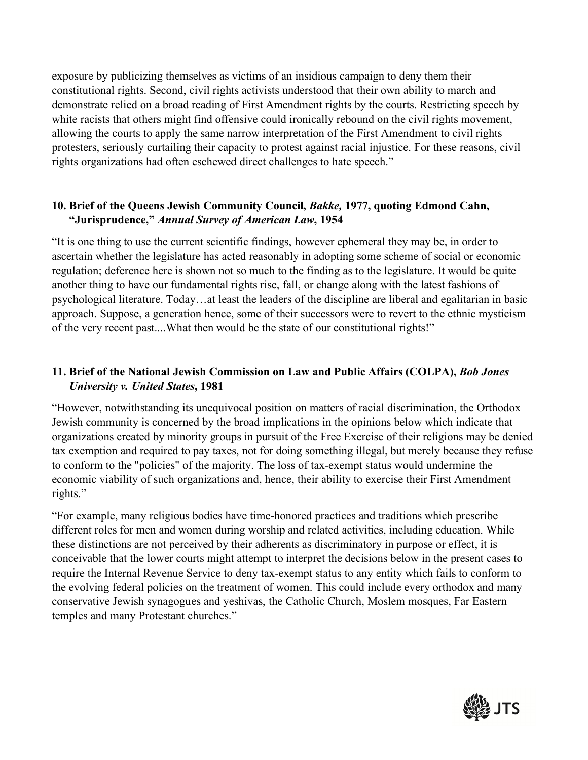exposure by publicizing themselves as victims of an insidious campaign to deny them their constitutional rights. Second, civil rights activists understood that their own ability to march and demonstrate relied on a broad reading of First Amendment rights by the courts. Restricting speech by white racists that others might find offensive could ironically rebound on the civil rights movement, allowing the courts to apply the same narrow interpretation of the First Amendment to civil rights protesters, seriously curtailing their capacity to protest against racial injustice. For these reasons, civil rights organizations had often eschewed direct challenges to hate speech."

#### **10. Brief of the Queens Jewish Community Council,** *Bakke,* **1977, quoting Edmond Cahn, "Jurisprudence,"** *Annual Survey of American Law***, 1954**

"It is one thing to use the current scientific findings, however ephemeral they may be, in order to ascertain whether the legislature has acted reasonably in adopting some scheme of social or economic regulation; deference here is shown not so much to the finding as to the legislature. It would be quite another thing to have our fundamental rights rise, fall, or change along with the latest fashions of psychological literature. Today…at least the leaders of the discipline are liberal and egalitarian in basic approach. Suppose, a generation hence, some of their successors were to revert to the ethnic mysticism of the very recent past....What then would be the state of our constitutional rights!"

#### **11. Brief of the National Jewish Commission on Law and Public Affairs (COLPA),** *Bob Jones University v. United States***, 1981**

"However, notwithstanding its unequivocal position on matters of racial discrimination, the Orthodox Jewish community is concerned by the broad implications in the opinions below which indicate that organizations created by minority groups in pursuit of the Free Exercise of their religions may be denied tax exemption and required to pay taxes, not for doing something illegal, but merely because they refuse to conform to the "policies" of the majority. The loss of tax-exempt status would undermine the economic viability of such organizations and, hence, their ability to exercise their First Amendment rights."

"For example, many religious bodies have time-honored practices and traditions which prescribe different roles for men and women during worship and related activities, including education. While these distinctions are not perceived by their adherents as discriminatory in purpose or effect, it is conceivable that the lower courts might attempt to interpret the decisions below in the present cases to require the Internal Revenue Service to deny tax-exempt status to any entity which fails to conform to the evolving federal policies on the treatment of women. This could include every orthodox and many conservative Jewish synagogues and yeshivas, the Catholic Church, Moslem mosques, Far Eastern temples and many Protestant churches."

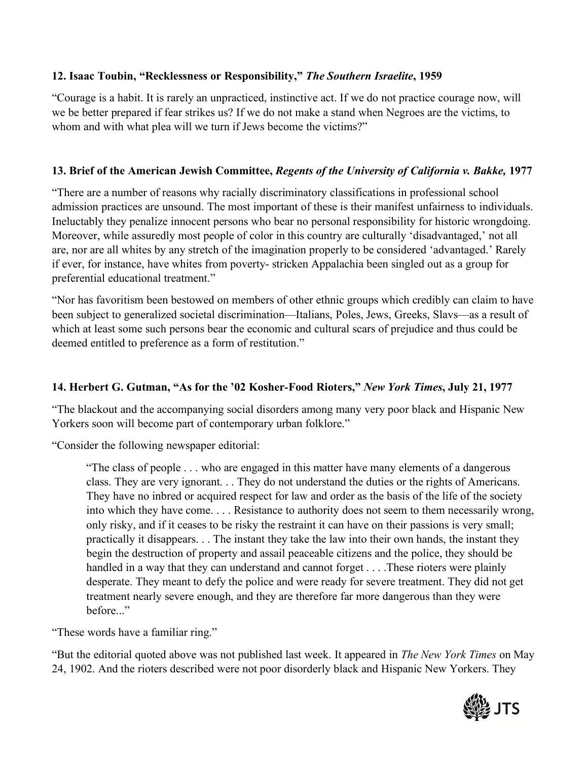#### **12. Isaac Toubin, "Recklessness or Responsibility,"** *The Southern Israelite***, 1959**

"Courage is a habit. It is rarely an unpracticed, instinctive act. If we do not practice courage now, will we be better prepared if fear strikes us? If we do not make a stand when Negroes are the victims, to whom and with what plea will we turn if Jews become the victims?"

#### **13. Brief of the American Jewish Committee,** *Regents of the University of California v. Bakke,* **1977**

"There are a number of reasons why racially discriminatory classifications in professional school admission practices are unsound. The most important of these is their manifest unfairness to individuals. Ineluctably they penalize innocent persons who bear no personal responsibility for historic wrongdoing. Moreover, while assuredly most people of color in this country are culturally 'disadvantaged,' not all are, nor are all whites by any stretch of the imagination properly to be considered 'advantaged.' Rarely if ever, for instance, have whites from poverty- stricken Appalachia been singled out as a group for preferential educational treatment."

"Nor has favoritism been bestowed on members of other ethnic groups which credibly can claim to have been subject to generalized societal discrimination—Italians, Poles, Jews, Greeks, Slavs—as a result of which at least some such persons bear the economic and cultural scars of prejudice and thus could be deemed entitled to preference as a form of restitution."

### **14. Herbert G. Gutman, "As for the '02 Kosher**‐**Food Rioters,"** *New York Times***, July 21, 1977**

"The blackout and the accompanying social disorders among many very poor black and Hispanic New Yorkers soon will become part of contemporary urban folklore."

"Consider the following newspaper editorial:

"The class of people . . . who are engaged in this matter have many elements of a dangerous class. They are very ignorant. . . They do not understand the duties or the rights of Americans. They have no inbred or acquired respect for law and order as the basis of the life of the society into which they have come. . . . Resistance to authority does not seem to them necessarily wrong, only risky, and if it ceases to be risky the restraint it can have on their passions is very small; practically it disappears. . . The instant they take the law into their own hands, the instant they begin the destruction of property and assail peaceable citizens and the police, they should be handled in a way that they can understand and cannot forget . . . . These rioters were plainly desperate. They meant to defy the police and were ready for severe treatment. They did not get treatment nearly severe enough, and they are therefore far more dangerous than they were before..."

"These words have a familiar ring."

"But the editorial quoted above was not published last week. It appeared in *The New York Times* on May 24, 1902. And the rioters described were not poor disorderly black and Hispanic New Yorkers. They

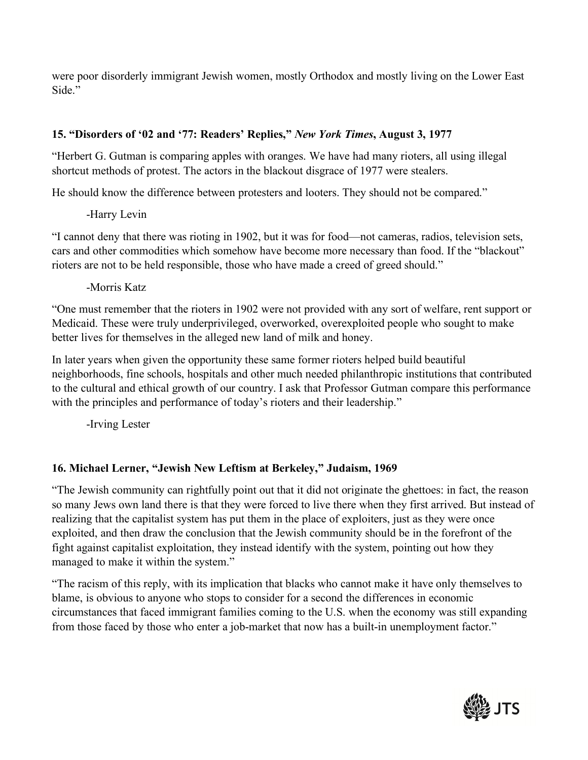were poor disorderly immigrant Jewish women, mostly Orthodox and mostly living on the Lower East Side."

## **15. "Disorders of '02 and '77: Readers' Replies,"** *New York Times***, August 3, 1977**

"Herbert G. Gutman is comparing apples with oranges. We have had many rioters, all using illegal shortcut methods of protest. The actors in the blackout disgrace of 1977 were stealers.

He should know the difference between protesters and looters. They should not be compared."

-Harry Levin

"I cannot deny that there was rioting in 1902, but it was for food—not cameras, radios, television sets, cars and other commodities which somehow have become more necessary than food. If the "blackout" rioters are not to be held responsible, those who have made a creed of greed should."

-Morris Katz

"One must remember that the rioters in 1902 were not provided with any sort of welfare, rent support or Medicaid. These were truly underprivileged, overworked, overexploited people who sought to make better lives for themselves in the alleged new land of milk and honey.

In later years when given the opportunity these same former rioters helped build beautiful neighborhoods, fine schools, hospitals and other much needed philanthropic institutions that contributed to the cultural and ethical growth of our country. I ask that Professor Gutman compare this performance with the principles and performance of today's rioters and their leadership."

-Irving Lester

### **16. Michael Lerner, "Jewish New Leftism at Berkeley," Judaism, 1969**

"The Jewish community can rightfully point out that it did not originate the ghettoes: in fact, the reason so many Jews own land there is that they were forced to live there when they first arrived. But instead of realizing that the capitalist system has put them in the place of exploiters, just as they were once exploited, and then draw the conclusion that the Jewish community should be in the forefront of the fight against capitalist exploitation, they instead identify with the system, pointing out how they managed to make it within the system."

"The racism of this reply, with its implication that blacks who cannot make it have only themselves to blame, is obvious to anyone who stops to consider for a second the differences in economic circumstances that faced immigrant families coming to the U.S. when the economy was still expanding from those faced by those who enter a job-market that now has a built-in unemployment factor."